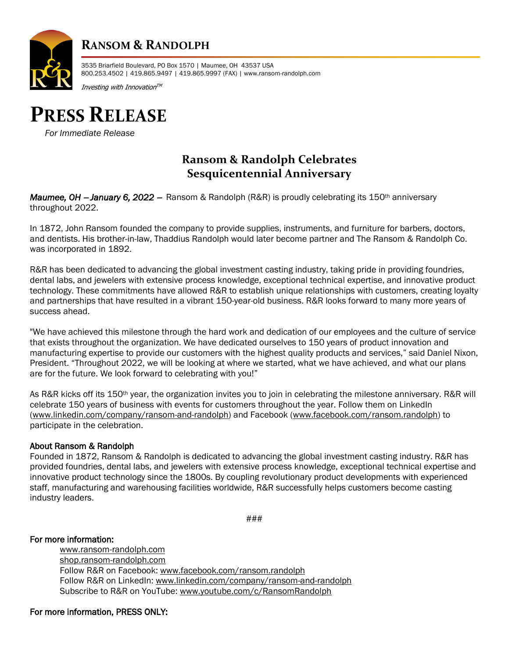

## **RANSOM & RANDOLPH**

3535 Briarfield Boulevard, PO Box 1570 | Maumee, OH 43537 USA 800.253.4502 | 419.865.9497 | 419.865.9997 (FAX) | www.ransom-randolph.com

Investing with Innovation $^{\tau \mathsf{M}}$ 



*For Immediate Release*

### **Ransom & Randolph Celebrates Sesquicentennial Anniversary**

*Maumee, OH* − *January 6, 2022* <sup>−</sup> Ransom & Randolph (R&R) is proudly celebrating its 150th anniversary throughout 2022.

In 1872, John Ransom founded the company to provide supplies, instruments, and furniture for barbers, doctors, and dentists. His brother-in-law, Thaddius Randolph would later become partner and The Ransom & Randolph Co. was incorporated in 1892.

R&R has been dedicated to advancing the global investment casting industry, taking pride in providing foundries, dental labs, and jewelers with extensive process knowledge, exceptional technical expertise, and innovative product technology. These commitments have allowed R&R to establish unique relationships with customers, creating loyalty and partnerships that have resulted in a vibrant 150-year-old business. R&R looks forward to many more years of success ahead.

"We have achieved this milestone through the hard work and dedication of our employees and the culture of service that exists throughout the organization. We have dedicated ourselves to 150 years of product innovation and manufacturing expertise to provide our customers with the highest quality products and services," said Daniel Nixon, President. "Throughout 2022, we will be looking at where we started, what we have achieved, and what our plans are for the future. We look forward to celebrating with you!"

As R&R kicks off its 150th year, the organization invites you to join in celebrating the milestone anniversary. R&R will celebrate 150 years of business with events for customers throughout the year. Follow them on LinkedIn [\(www.linkedin.com/company/ransom-and-randolph\)](http://www.linkedin.com/company/ransom-and-randolph) and Facebook [\(www.facebook.com/ransom.randolph\)](http://www.facebook.com/ransom.randolph) to participate in the celebration.

#### About Ransom & Randolph

Founded in 1872, Ransom & Randolph is dedicated to advancing the global investment casting industry. R&R has provided foundries, dental labs, and jewelers with extensive process knowledge, exceptional technical expertise and innovative product technology since the 1800s. By coupling revolutionary product developments with experienced staff, manufacturing and warehousing facilities worldwide, R&R successfully helps customers become casting industry leaders.

###

#### For more information:

[www.ransom-randolph.com](http://www.ransom-randolph.com/) [shop.ransom-randolph.com](https://shop.ransom-randolph.com/) Follow R&R on Facebook[: www.facebook.com/ransom.randolph](http://www.facebook.com/ransom.randolph) Follow R&R on LinkedIn: [www.linkedin.com/company/ransom-and-randolph](http://www.linkedin.com/company/ransom-and-randolph) Subscribe to R&R on YouTube: [www.youtube.com/c/RansomRandolph](http://www.youtube.com/c/RansomRandolph)

For more information, PRESS ONLY: